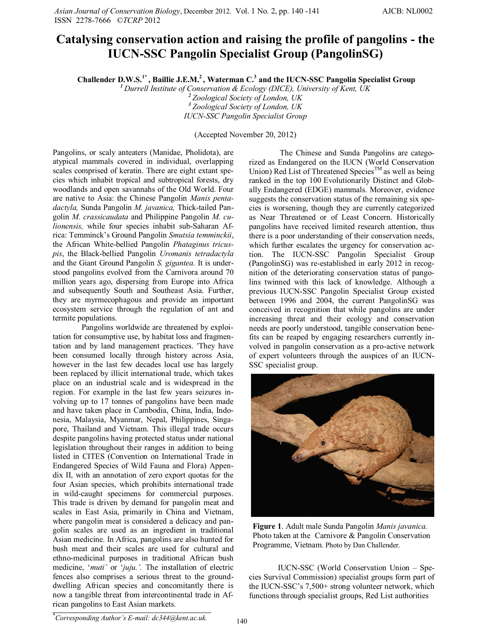## **Catalysing conservation action and raising the profile of pangolins - the IUCN-SSC Pangolin Specialist Group (PangolinSG)**

**Challender D.W.S.1\* , Baillie J.E.M.<sup>2</sup> , Waterman C.<sup>3</sup> and the IUCN-SSC Pangolin Specialist Group**

*<sup>1</sup>Durrell Institute of Conservation & Ecology (DICE), University of Kent, UK <sup>2</sup>Zoological Society of London, UK <sup>3</sup>Zoological Society of London, UK*

*IUCN-SSC Pangolin Specialist Group*

(Accepted November 20, 2012)

Pangolins, or scaly anteaters (Manidae, Pholidota), are atypical mammals covered in individual, overlapping scales comprised of keratin. There are eight extant species which inhabit tropical and subtropical forests, dry woodlands and open savannahs of the Old World. Four are native to Asia: the Chinese Pangolin *Manis pentadactyla,* Sunda Pangolin *M. javanica,* Thick-tailed Pangolin *M. crassicaudata* and Philippine Pangolin *M. culionensis,* while four species inhabit sub-Saharan Africa: Temminck's Ground Pangolin *Smutsia temminckii*, the African White-bellied Pangolin *Phataginus tricuspis*, the Black-bellied Pangolin *Uromanis tetradactyla* and the Giant Ground Pangolin *S. gigantea.* It is understood pangolins evolved from the Carnivora around 70 million years ago, dispersing from Europe into Africa and subsequently South and Southeast Asia. Further, they are myrmecophagous and provide an important ecosystem service through the regulation of ant and termite populations.

Pangolins worldwide are threatened by exploitation for consumptive use, by habitat loss and fragmentation and by land management practices. 'They have been consumed locally through history across Asia, however in the last few decades local use has largely been replaced by illicit international trade, which takes place on an industrial scale and is widespread in the region. For example in the last few years seizures involving up to 17 tonnes of pangolins have been made and have taken place in Cambodia, China, India, Indonesia, Malaysia, Myanmar, Nepal, Philippines, Singapore, Thailand and Vietnam. This illegal trade occurs despite pangolins having protected status under national legislation throughout their ranges in addition to being listed in CITES (Convention on International Trade in Endangered Species of Wild Fauna and Flora) Appendix II, with an annotation of zero export quotas for the four Asian species, which prohibits international trade in wild-caught specimens for commercial purposes. This trade is driven by demand for pangolin meat and scales in East Asia, primarily in China and Vietnam, where pangolin meat is considered a delicacy and pangolin scales are used as an ingredient in traditional Asian medicine. In Africa, pangolins are also hunted for bush meat and their scales are used for cultural and ethno-medicinal purposes in traditional African bush medicine, '*muti'* or '*juju.'.* The installation of electric fences also comprises a serious threat to the grounddwelling African species and concomitantly there is now a tangible threat from intercontinental trade in African pangolins to East Asian markets.

The Chinese and Sunda Pangolins are categorized as Endangered on the IUCN (World Conservation Union) Red List of Threatened Species<sup>TM</sup> as well as being ranked in the top 100 Evolutionarily Distinct and Globally Endangered (EDGE) mammals. Moreover, evidence suggests the conservation status of the remaining six species is worsening, though they are currently categorized as Near Threatened or of Least Concern. Historically pangolins have received limited research attention, thus there is a poor understanding of their conservation needs, which further escalates the urgency for conservation action. The IUCN-SSC Pangolin Specialist Group (PangolinSG) was re-established in early 2012 in recognition of the deteriorating conservation status of pangolins twinned with this lack of knowledge. Although a previous IUCN-SSC Pangolin Specialist Group existed between 1996 and 2004, the current PangolinSG was conceived in recognition that while pangolins are under increasing threat and their ecology and conservation needs are poorly understood, tangible conservation benefits can be reaped by engaging researchers currently involved in pangolin conservation as a pro-active network of expert volunteers through the auspices of an IUCN-SSC specialist group.



**Figure 1**. Adult male Sunda Pangolin *Manis javanica.*  Photo taken at the Carnivore & Pangolin Conservation Programme, Vietnam. Photo by Dan Challender.

IUCN-SSC (World Conservation Union – Species Survival Commission) specialist groups form part of the IUCN-SSC's 7,500+ strong volunteer network, which functions through specialist groups, Red List authorities